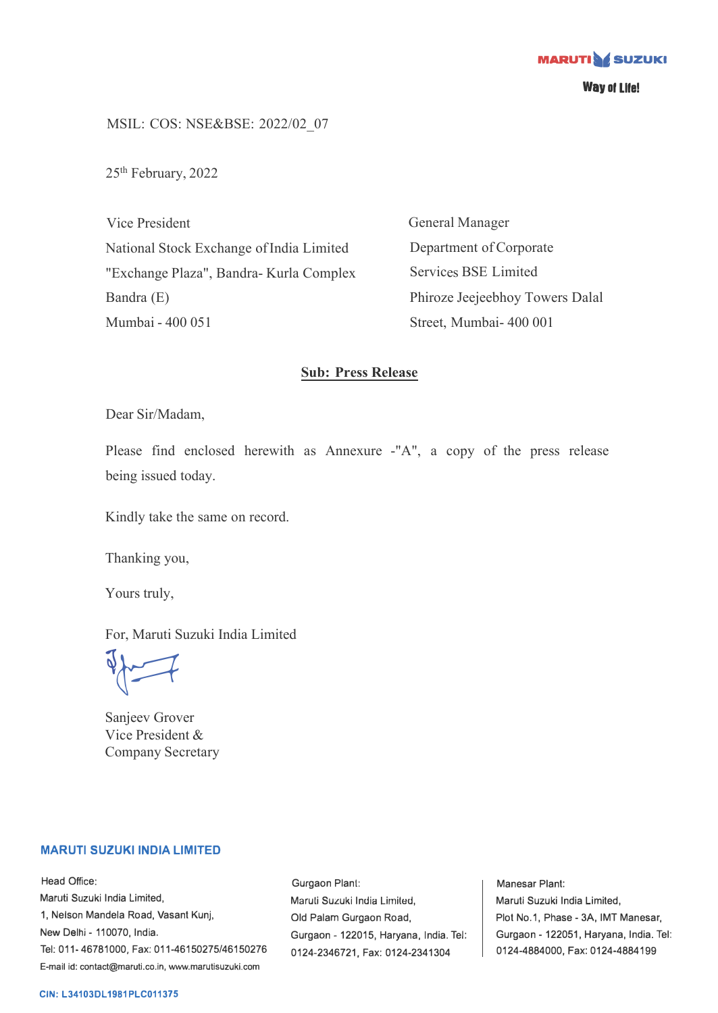**MARUTI OF SUZUKI** 

**Wayol LIie!** 

MSIL: COS: NSE&BSE: 2022/02\_07

25<sup>th</sup> February, 2022

Vice President National Stock Exchange of India Limited "Exchange Plaza", Bandra- Kurla Complex Bandra (E) Mumbai - 400 051

General Manager Department of Corporate Services BSE Limited Phiroze Jeejeebhoy Towers Dalal Street, Mumbai- 400 001

## **Sub: Press Release**

Dear Sir/Madam,

Please find enclosed herewith as Annexure -"A", a copy of the press release being issued today.

Kindly take the same on record.

Thanking you,

Yours truly,

For, Maruti Suzuki India Limited

 $\sqrt{2}$ 

Sanjeev Grover Vice President & Company Secretary

## **MARUTI SUZUKI INDIA LIMITED**

Head Office: Maruti Suzuki India Limited, 1, Nelson Mandela Road, Vasant Kunj, New Delhi - 110070, India. Tel: 011-46781000, Fax: 011-46150275/46150276 E-mail id: contact@maruti.co.in, www.marutisuzuki.com

Gurgaon Plant: Maruli Suzuki India Lirniled, Old Palam Gurgaon Road, Gurgaon - 122015, Haryana, India. Tel: 0124-2346721, Fax: 0124-2341304

Manesar Plant: Maruti Suzuki India Limited, Plot No.1, Phase - 3A, IMT Manesar, Gurgaon - 122051, Haryana, India. Tel: 0124-4884000, Fax: 0124-4884199

### **CIN: L34103DL1981PLC011375**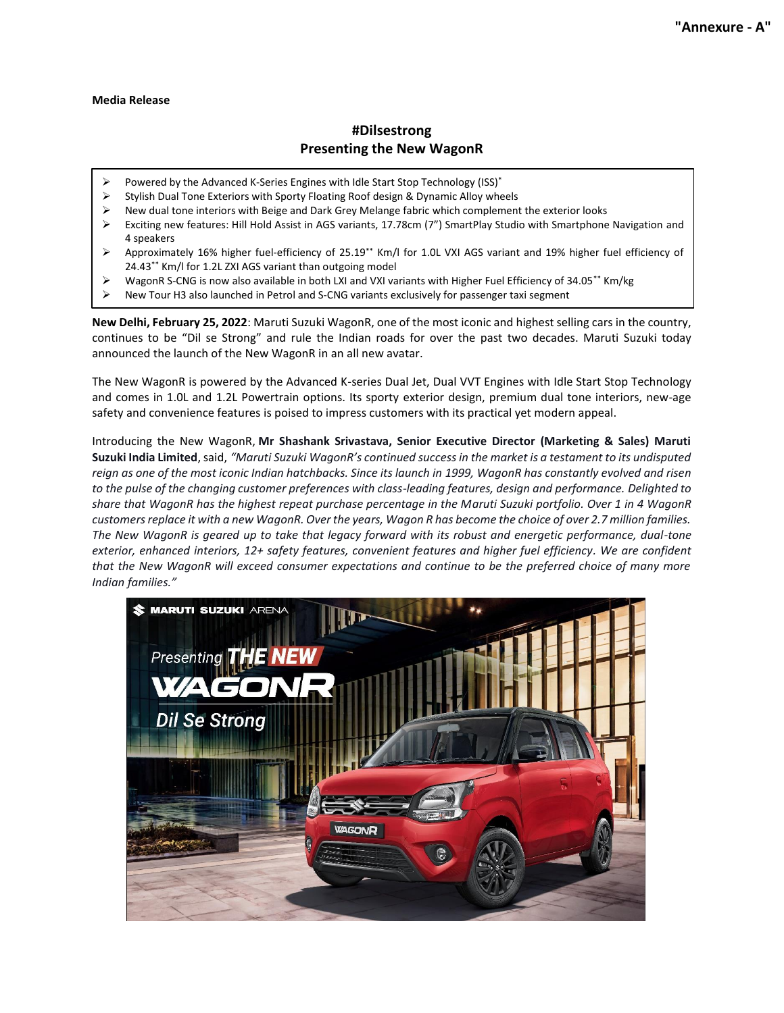#### **Media Release**

# **#Dilsestrong Presenting the New WagonR**

- Powered by the Advanced K-Series Engines with Idle Start Stop Technology (ISS)\*
- Stylish Dual Tone Exteriors with Sporty Floating Roof design & Dynamic Alloy wheels
- ➢ New dual tone interiors with Beige and Dark Grey Melange fabric which complement the exterior looks
- Exciting new features: Hill Hold Assist in AGS variants, 17.78cm (7") SmartPlay Studio with Smartphone Navigation and 4 speakers
- Approximately 16% higher fuel-efficiency of 25.19<sup>\*\*</sup> Km/l for 1.0L VXI AGS variant and 19% higher fuel efficiency of 24.43\*\* Km/l for 1.2L ZXI AGS variant than outgoing model
- WagonR S-CNG is now also available in both LXI and VXI variants with Higher Fuel Efficiency of 34.05\*\* Km/kg
- ➢ New Tour H3 also launched in Petrol and S-CNG variants exclusively for passenger taxi segment

**New Delhi, February 25, 2022**: Maruti Suzuki WagonR, one of the most iconic and highest selling cars in the country, continues to be "Dil se Strong" and rule the Indian roads for over the past two decades. Maruti Suzuki today announced the launch of the New WagonR in an all new avatar.

The New WagonR is powered by the Advanced K-series Dual Jet, Dual VVT Engines with Idle Start Stop Technology and comes in 1.0L and 1.2L Powertrain options. Its sporty exterior design, premium dual tone interiors, new-age safety and convenience features is poised to impress customers with its practical yet modern appeal.

Introducing the New WagonR, **Mr Shashank Srivastava, Senior Executive Director (Marketing & Sales) Maruti Suzuki India Limited**, said, *"Maruti Suzuki WagonR's continued success in the market is a testament to its undisputed reign as one of the most iconic Indian hatchbacks. Since its launch in 1999, WagonR has constantly evolved and risen to the pulse of the changing customer preferences with class-leading features, design and performance. Delighted to share that WagonR has the highest repeat purchase percentage in the Maruti Suzuki portfolio. Over 1 in 4 WagonR customersreplace it with a new WagonR. Over the years, Wagon R has become the choice of over 2.7 million families. The New WagonR is geared up to take that legacy forward with its robust and energetic performance, dual-tone exterior, enhanced interiors, 12+ safety features, convenient features and higher fuel efficiency. We are confident that the New WagonR will exceed consumer expectations and continue to be the preferred choice of many more Indian families."*

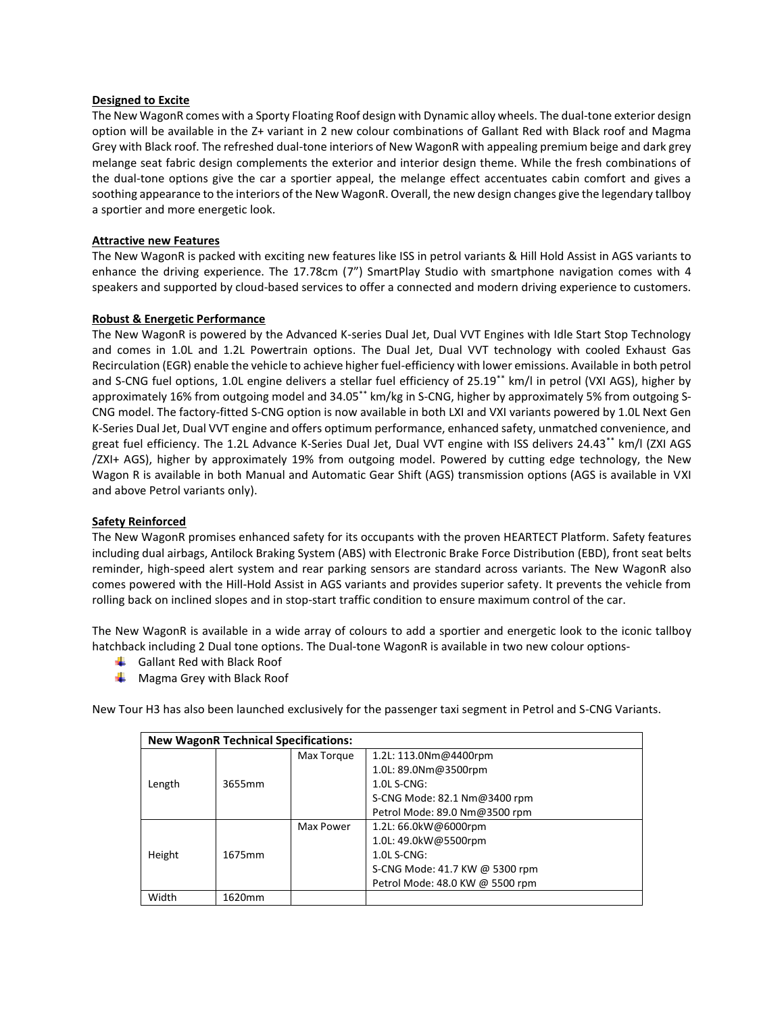### **Designed to Excite**

The New WagonR comes with a Sporty Floating Roof design with Dynamic alloy wheels. The dual-tone exterior design option will be available in the Z+ variant in 2 new colour combinations of Gallant Red with Black roof and Magma Grey with Black roof. The refreshed dual-tone interiors of New WagonR with appealing premium beige and dark grey melange seat fabric design complements the exterior and interior design theme. While the fresh combinations of the dual-tone options give the car a sportier appeal, the melange effect accentuates cabin comfort and gives a soothing appearance to the interiors of the New WagonR. Overall, the new design changes give the legendary tallboy a sportier and more energetic look.

## **Attractive new Features**

The New WagonR is packed with exciting new features like ISS in petrol variants & Hill Hold Assist in AGS variants to enhance the driving experience. The 17.78cm (7") SmartPlay Studio with smartphone navigation comes with 4 speakers and supported by cloud-based services to offer a connected and modern driving experience to customers.

### **Robust & Energetic Performance**

The New WagonR is powered by the Advanced K-series Dual Jet, Dual VVT Engines with Idle Start Stop Technology and comes in 1.0L and 1.2L Powertrain options. The Dual Jet, Dual VVT technology with cooled Exhaust Gas Recirculation (EGR) enable the vehicle to achieve higher fuel-efficiency with lower emissions. Available in both petrol and S-CNG fuel options, 1.0L engine delivers a stellar fuel efficiency of 25.19\*\* km/l in petrol (VXI AGS), higher by approximately 16% from outgoing model and 34.05\*\* km/kg in S-CNG, higher by approximately 5% from outgoing S-CNG model. The factory-fitted S-CNG option is now available in both LXI and VXI variants powered by 1.0L Next Gen K-Series Dual Jet, Dual VVT engine and offers optimum performance, enhanced safety, unmatched convenience, and great fuel efficiency. The 1.2L Advance K-Series Dual Jet, Dual VVT engine with ISS delivers 24.43\*\* km/l (ZXI AGS /ZXI+ AGS), higher by approximately 19% from outgoing model. Powered by cutting edge technology, the New Wagon R is available in both Manual and Automatic Gear Shift (AGS) transmission options (AGS is available in VXI and above Petrol variants only).

### **Safety Reinforced**

The New WagonR promises enhanced safety for its occupants with the proven HEARTECT Platform. Safety features including dual airbags, Antilock Braking System (ABS) with Electronic Brake Force Distribution (EBD), front seat belts reminder, high-speed alert system and rear parking sensors are standard across variants. The New WagonR also comes powered with the Hill-Hold Assist in AGS variants and provides superior safety. It prevents the vehicle from rolling back on inclined slopes and in stop-start traffic condition to ensure maximum control of the car.

The New WagonR is available in a wide array of colours to add a sportier and energetic look to the iconic tallboy hatchback including 2 Dual tone options. The Dual-tone WagonR is available in two new colour options-

- $\leftarrow$  Gallant Red with Black Roof
- $\frac{1}{\sqrt{2}}$  Magma Grey with Black Roof

New Tour H3 has also been launched exclusively for the passenger taxi segment in Petrol and S-CNG Variants.

| <b>New WagonR Technical Specifications:</b> |        |            |                                 |  |  |  |
|---------------------------------------------|--------|------------|---------------------------------|--|--|--|
|                                             |        | Max Torque | 1.2L: 113.0Nm@4400rpm           |  |  |  |
|                                             |        |            | 1.0L: 89.0Nm@3500rpm            |  |  |  |
| Length                                      | 3655mm |            | $1.0$ L S-CNG:                  |  |  |  |
|                                             |        |            | S-CNG Mode: 82.1 Nm@3400 rpm    |  |  |  |
|                                             |        |            | Petrol Mode: 89.0 Nm@3500 rpm   |  |  |  |
|                                             |        | Max Power  | 1.2L: 66.0kW@6000rpm            |  |  |  |
| Height                                      |        |            | 1.0L: 49.0kW@5500rpm            |  |  |  |
|                                             | 1675mm |            | $1.0$ L S-CNG:                  |  |  |  |
|                                             |        |            | S-CNG Mode: 41.7 KW @ 5300 rpm  |  |  |  |
|                                             |        |            | Petrol Mode: 48.0 KW @ 5500 rpm |  |  |  |
| Width                                       | 1620mm |            |                                 |  |  |  |